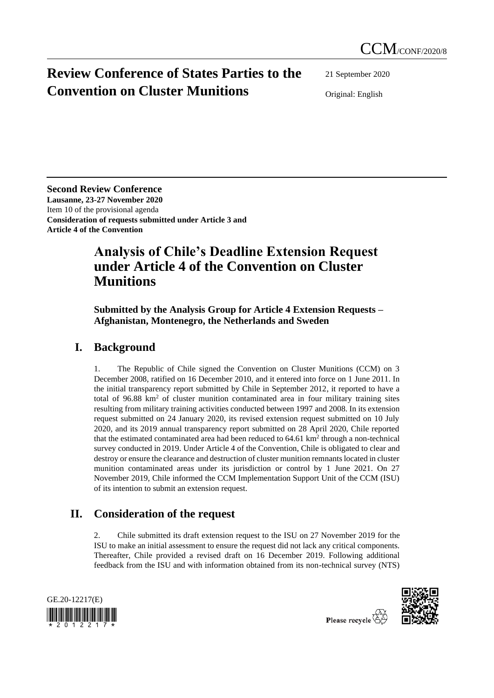# **Review Conference of States Parties to the Convention on Cluster Munitions**

21 September 2020

Original: English

**Second Review Conference Lausanne, 23-27 November 2020** Item 10 of the provisional agenda **Consideration of requests submitted under Article 3 and Article 4 of the Convention**

## **Analysis of Chile's Deadline Extension Request under Article 4 of the Convention on Cluster Munitions**

**Submitted by the Analysis Group for Article 4 Extension Requests – Afghanistan, Montenegro, the Netherlands and Sweden**

### **I. Background**

1. The Republic of Chile signed the Convention on Cluster Munitions (CCM) on 3 December 2008, ratified on 16 December 2010, and it entered into force on 1 June 2011. In the initial transparency report submitted by Chile in September 2012, it reported to have a total of  $96.88 \text{ km}^2$  of cluster munition contaminated area in four military training sites resulting from military training activities conducted between 1997 and 2008. In its extension request submitted on 24 January 2020, its revised extension request submitted on 10 July 2020, and its 2019 annual transparency report submitted on 28 April 2020, Chile reported that the estimated contaminated area had been reduced to  $64.61 \text{ km}^2$  through a non-technical survey conducted in 2019. Under Article 4 of the Convention, Chile is obligated to clear and destroy or ensure the clearance and destruction of cluster munition remnants located in cluster munition contaminated areas under its jurisdiction or control by 1 June 2021. On 27 November 2019, Chile informed the CCM Implementation Support Unit of the CCM (ISU) of its intention to submit an extension request.

## **II. Consideration of the request**

2. Chile submitted its draft extension request to the ISU on 27 November 2019 for the ISU to make an initial assessment to ensure the request did not lack any critical components. Thereafter, Chile provided a revised draft on 16 December 2019. Following additional feedback from the ISU and with information obtained from its non-technical survey (NTS)





Please recycle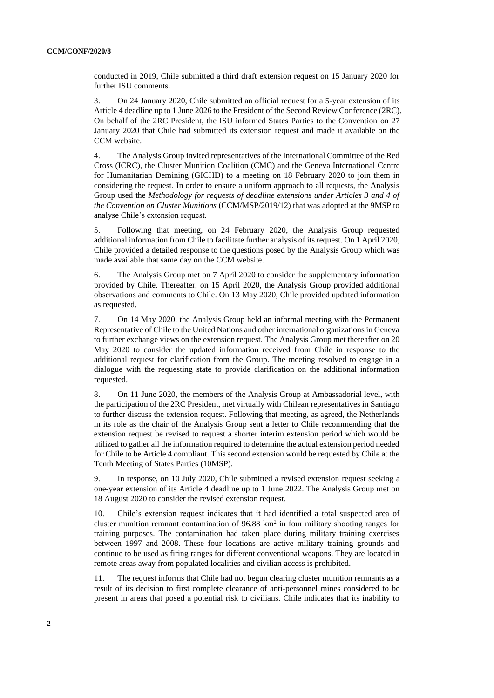conducted in 2019, Chile submitted a third draft extension request on 15 January 2020 for further ISU comments.

3. On 24 January 2020, Chile submitted an official request for a 5-year extension of its Article 4 deadline up to 1 June 2026 to the President of the Second Review Conference (2RC). On behalf of the 2RC President, the ISU informed States Parties to the Convention on 27 January 2020 that Chile had submitted its extension request and made it available on the CCM website.

4. The Analysis Group invited representatives of the International Committee of the Red Cross (ICRC), the Cluster Munition Coalition (CMC) and the Geneva International Centre for Humanitarian Demining (GICHD) to a meeting on 18 February 2020 to join them in considering the request. In order to ensure a uniform approach to all requests, the Analysis Group used the *Methodology for requests of deadline extensions under Articles 3 and 4 of the Convention on Cluster Munitions* (CCM/MSP/2019/12) that was adopted at the 9MSP to analyse Chile's extension request.

5. Following that meeting, on 24 February 2020, the Analysis Group requested additional information from Chile to facilitate further analysis of its request. On 1 April 2020, Chile provided a detailed response to the questions posed by the Analysis Group which was made available that same day on the CCM website.

6. The Analysis Group met on 7 April 2020 to consider the supplementary information provided by Chile. Thereafter, on 15 April 2020, the Analysis Group provided additional observations and comments to Chile. On 13 May 2020, Chile provided updated information as requested.

7. On 14 May 2020, the Analysis Group held an informal meeting with the Permanent Representative of Chile to the United Nations and other international organizations in Geneva to further exchange views on the extension request. The Analysis Group met thereafter on 20 May 2020 to consider the updated information received from Chile in response to the additional request for clarification from the Group. The meeting resolved to engage in a dialogue with the requesting state to provide clarification on the additional information requested.

8. On 11 June 2020, the members of the Analysis Group at Ambassadorial level, with the participation of the 2RC President, met virtually with Chilean representatives in Santiago to further discuss the extension request. Following that meeting, as agreed, the Netherlands in its role as the chair of the Analysis Group sent a letter to Chile recommending that the extension request be revised to request a shorter interim extension period which would be utilized to gather all the information required to determine the actual extension period needed for Chile to be Article 4 compliant. This second extension would be requested by Chile at the Tenth Meeting of States Parties (10MSP).

9. In response, on 10 July 2020, Chile submitted a revised extension request seeking a one-year extension of its Article 4 deadline up to 1 June 2022. The Analysis Group met on 18 August 2020 to consider the revised extension request.

10. Chile's extension request indicates that it had identified a total suspected area of cluster munition remnant contamination of 96.88 km<sup>2</sup> in four military shooting ranges for training purposes. The contamination had taken place during military training exercises between 1997 and 2008. These four locations are active military training grounds and continue to be used as firing ranges for different conventional weapons. They are located in remote areas away from populated localities and civilian access is prohibited.

11. The request informs that Chile had not begun clearing cluster munition remnants as a result of its decision to first complete clearance of anti-personnel mines considered to be present in areas that posed a potential risk to civilians. Chile indicates that its inability to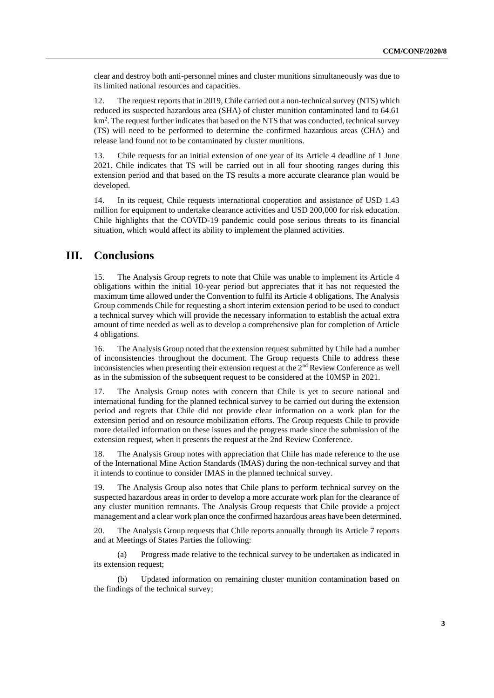clear and destroy both anti-personnel mines and cluster munitions simultaneously was due to its limited national resources and capacities.

12. The request reports that in 2019, Chile carried out a non-technical survey (NTS) which reduced its suspected hazardous area (SHA) of cluster munition contaminated land to 64.61 km<sup>2</sup>. The request further indicates that based on the NTS that was conducted, technical survey (TS) will need to be performed to determine the confirmed hazardous areas (CHA) and release land found not to be contaminated by cluster munitions.

13. Chile requests for an initial extension of one year of its Article 4 deadline of 1 June 2021. Chile indicates that TS will be carried out in all four shooting ranges during this extension period and that based on the TS results a more accurate clearance plan would be developed.

14. In its request, Chile requests international cooperation and assistance of USD 1.43 million for equipment to undertake clearance activities and USD 200,000 for risk education. Chile highlights that the COVID-19 pandemic could pose serious threats to its financial situation, which would affect its ability to implement the planned activities.

#### **III. Conclusions**

15. The Analysis Group regrets to note that Chile was unable to implement its Article 4 obligations within the initial 10-year period but appreciates that it has not requested the maximum time allowed under the Convention to fulfil its Article 4 obligations. The Analysis Group commends Chile for requesting a short interim extension period to be used to conduct a technical survey which will provide the necessary information to establish the actual extra amount of time needed as well as to develop a comprehensive plan for completion of Article 4 obligations.

16. The Analysis Group noted that the extension request submitted by Chile had a number of inconsistencies throughout the document. The Group requests Chile to address these inconsistencies when presenting their extension request at the 2<sup>nd</sup> Review Conference as well as in the submission of the subsequent request to be considered at the 10MSP in 2021.

17. The Analysis Group notes with concern that Chile is yet to secure national and international funding for the planned technical survey to be carried out during the extension period and regrets that Chile did not provide clear information on a work plan for the extension period and on resource mobilization efforts. The Group requests Chile to provide more detailed information on these issues and the progress made since the submission of the extension request, when it presents the request at the 2nd Review Conference.

18. The Analysis Group notes with appreciation that Chile has made reference to the use of the International Mine Action Standards (IMAS) during the non-technical survey and that it intends to continue to consider IMAS in the planned technical survey.

19. The Analysis Group also notes that Chile plans to perform technical survey on the suspected hazardous areas in order to develop a more accurate work plan for the clearance of any cluster munition remnants. The Analysis Group requests that Chile provide a project management and a clear work plan once the confirmed hazardous areas have been determined.

20. The Analysis Group requests that Chile reports annually through its Article 7 reports and at Meetings of States Parties the following:

(a) Progress made relative to the technical survey to be undertaken as indicated in its extension request;

(b) Updated information on remaining cluster munition contamination based on the findings of the technical survey;